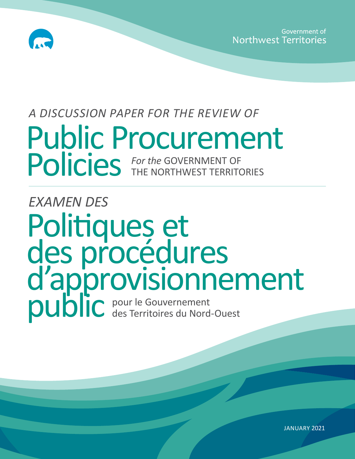TD 332-19(2) TABLED ON MARCH 1, 2021

**Northwest Territories** 

Government of

## *A DISCUSSION PAPER FOR THE REVIEW OF*

## Public Procurement Policies *For the* GOVERNMENT OF THE NORTHWEST TERRITORIES

# *EXAMEN DES* Politiques et<br>des procédures d'approvisionnement public **b**

pour le Gouvernement des Territoires du Nord‑Ouest

JANUARY 2021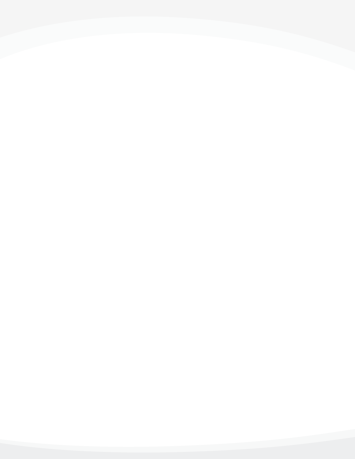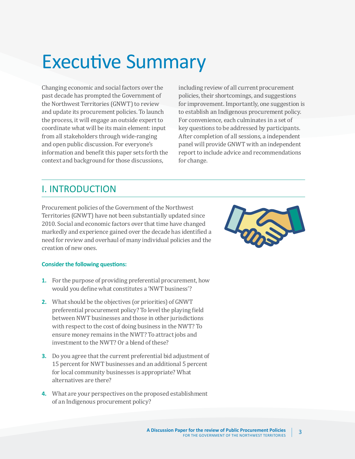## Executive Summary

Changing economic and social factors over the past decade has prompted the Government of the Northwest Territories (GNWT) to review and update its procurement policies. To launch the process, it will engage an outside expert to coordinate what will be its main element: input from all stakeholders through wide-ranging and open public discussion. For everyone's information and benefit this paper sets forth the context and background for those discussions,

including review of all current procurement policies, their shortcomings, and suggestions for improvement. Importantly, one suggestion is to establish an Indigenous procurement policy. For convenience, each culminates in a set of key questions to be addressed by participants. After completion of all sessions, a independent panel will provide GNWT with an independent report to include advice and recommendations for change.

## I. INTRODUCTION

Procurement policies of the Government of the Northwest Territories (GNWT) have not been substantially updated since 2010. Social and economic factors over that time have changed markedly and experience gained over the decade has identified a need for review and overhaul of many individual policies and the creation of new ones.



#### **Consider the following questions:**

- **1.** For the purpose of providing preferential procurement, how would you define what constitutes a 'NWT business'?
- **2.** What should be the objectives (or priorities) of GNWT preferential procurement policy? To level the playing field between NWT businesses and those in other jurisdictions with respect to the cost of doing business in the NWT? To ensure money remains in the NWT? To attract jobs and investment to the NWT? Or a blend of these?
- **3.** Do you agree that the current preferential bid adjustment of 15 percent for NWT businesses and an additional 5 percent for local community businesses is appropriate? What alternatives are there?
- **4.** What are your perspectives on the proposed establishment of an Indigenous procurement policy?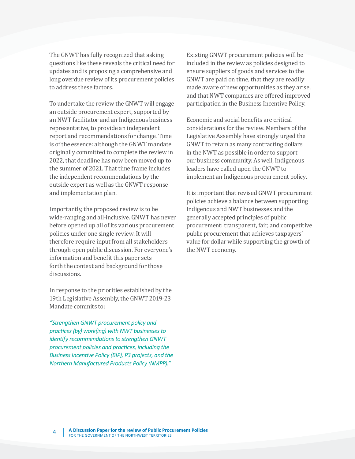The GNWT has fully recognized that asking questions like these reveals the critical need for updates and is proposing a comprehensive and long overdue review of its procurement policies to address these factors.

To undertake the review the GNWT will engage an outside procurement expert, supported by an NWT facilitator and an Indigenous business representative, to provide an independent report and recommendations for change. Time is of the essence: although the GNWT mandate originally committed to complete the review in 2022, that deadline has now been moved up to the summer of 2021. That time frame includes the independent recommendations by the outside expert as well as the GNWT response and implementation plan.

Importantly, the proposed review is to be wide-ranging and all-inclusive. GNWT has never before opened up all of its various procurement policies under one single review. It will therefore require input from all stakeholders through open public discussion. For everyone's information and benefit this paper sets forth the context and background for those discussions.

In response to the priorities established by the 19th Legislative Assembly, the GNWT 2019-23 Mandate commits to:

*"Strengthen GNWT procurement policy and practices (by) work(ing) with NWT businesses to identify recommendations to strengthen GNWT procurement policies and practices, including the Business Incentive Policy (BIP), P3 projects, and the Northern Manufactured Products Policy (NMPP)."*

Existing GNWT procurement policies will be included in the review as policies designed to ensure suppliers of goods and services to the GNWT are paid on time, that they are readily made aware of new opportunities as they arise, and that NWT companies are offered improved participation in the Business Incentive Policy.

Economic and social benefits are critical considerations for the review. Members of the Legislative Assembly have strongly urged the GNWT to retain as many contracting dollars in the NWT as possible in order to support our business community. As well, Indigenous leaders have called upon the GNWT to implement an Indigenous procurement policy.

It is important that revised GNWT procurement policies achieve a balance between supporting Indigenous and NWT businesses and the generally accepted principles of public procurement: transparent, fair, and competitive public procurement that achieves taxpayers' value for dollar while supporting the growth of the NWT economy.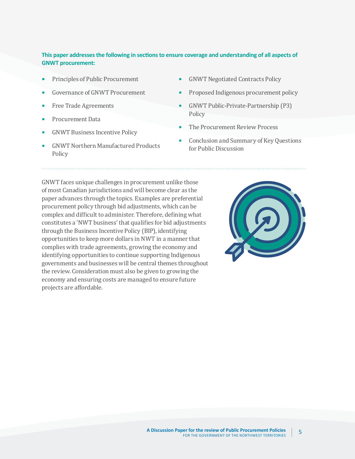### **This paper addresses the following in sections to ensure coverage and understanding of all aspects of GNWT procurement:**

- **•** Principles of Public Procurement
- **•** Governance of GNWT Procurement
- **•** Free Trade Agreements
- **•** Procurement Data
- **•** GNWT Business Incentive Policy
- **•** GNWT Northern Manufactured Products **Policy**
- **•** GNWT Negotiated Contracts Policy
- **•** Proposed Indigenous procurement policy
- **•** GNWT Public-Private-Partnership (P3) Policy
- **•** The Procurement Review Process
- **•** Conclusion and Summary of Key Questions for Public Discussion

GNWT faces unique challenges in procurement unlike those of most Canadian jurisdictions and will become clear as the paper advances through the topics. Examples are preferential procurement policy through bid adjustments, which can be complex and difficult to administer. Therefore, defining what constitutes a 'NWT business' that qualifies for bid adjustments through the Business Incentive Policy (BIP), identifying opportunities to keep more dollars in NWT in a manner that complies with trade agreements, growing the economy and identifying opportunities to continue supporting Indigenous governments and businesses will be central themes throughout the review. Consideration must also be given to growing the economy and ensuring costs are managed to ensure future projects are affordable.

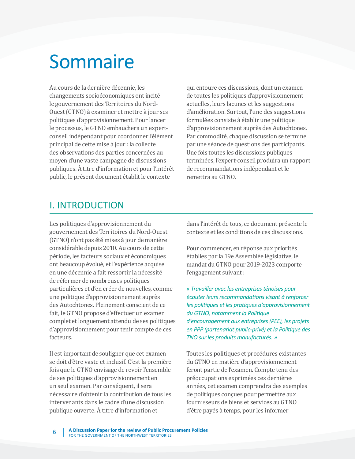## Sommaire

Au cours de la dernière décennie, les changements socioéconomiques ont incité le gouvernement des Territoires du Nord-Ouest (GTNO) à examiner et mettre à jour ses politiques d'approvisionnement. Pour lancer le processus, le GTNO embauchera un expertconseil indépendant pour coordonner l'élément principal de cette mise à jour : la collecte des observations des parties concernées au moyen d'une vaste campagne de discussions publiques. À titre d'information et pour l'intérêt public, le présent document établit le contexte

qui entoure ces discussions, dont un examen de toutes les politiques d'approvisionnement actuelles, leurs lacunes et les suggestions d'amélioration. Surtout, l'une des suggestions formulées consiste à établir une politique d'approvisionnement auprès des Autochtones. Par commodité, chaque discussion se termine par une séance de questions des participants. Une fois toutes les discussions publiques terminées, l'expert-conseil produira un rapport de recommandations indépendant et le remettra au GTNO.

## I. INTRODUCTION

Les politiques d'approvisionnement du gouvernement des Territoires du Nord-Ouest (GTNO) n'ont pas été mises à jour de manière considérable depuis 2010. Au cours de cette période, les facteurs sociaux et économiques ont beaucoup évolué, et l'expérience acquise en une décennie a fait ressortir la nécessité de réformer de nombreuses politiques particulières et d'en créer de nouvelles, comme une politique d'approvisionnement auprès des Autochtones. Pleinement conscient de ce fait, le GTNO propose d'effectuer un examen complet et longuement attendu de ses politiques d'approvisionnement pour tenir compte de ces facteurs.

Il est important de souligner que cet examen se doit d'être vaste et inclusif. C'est la première fois que le GTNO envisage de revoir l'ensemble de ses politiques d'approvisionnement en un seul examen. Par conséquent, il sera nécessaire d'obtenir la contribution de tous les intervenants dans le cadre d'une discussion publique ouverte. À titre d'information et

dans l'intérêt de tous, ce document présente le contexte et les conditions de ces discussions.

Pour commencer, en réponse aux priorités établies par la 19e Assemblée législative, le mandat du GTNO pour 2019-2023 comporte l'engagement suivant :

*« Travailler avec les entreprises ténoises pour écouter leurs recommandations visant à renforcer les politiques et les pratiques d'approvisionnement du GTNO, notamment la Politique d'encouragement aux entreprises (PEE), les projets en PPP (partenariat public-privé) et la Politique des TNO sur les produits manufacturés. »*

Toutes les politiques et procédures existantes du GTNO en matière d'approvisionnement feront partie de l'examen. Compte tenu des préoccupations exprimées ces dernières années, cet examen comprendra des exemples de politiques conçues pour permettre aux fournisseurs de biens et services au GTNO d'être payés à temps, pour les informer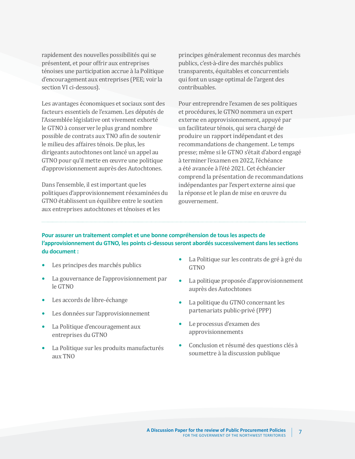rapidement des nouvelles possibilités qui se présentent, et pour offrir aux entreprises ténoises une participation accrue à la Politique d'encouragement aux entreprises (PEE; voir la section VI ci-dessous).

Les avantages économiques et sociaux sont des facteurs essentiels de l'examen. Les députés de l'Assemblée législative ont vivement exhorté le GTNO à conserver le plus grand nombre possible de contrats aux TNO afin de soutenir le milieu des affaires ténois. De plus, les dirigeants autochtones ont lancé un appel au GTNO pour qu'il mette en œuvre une politique d'approvisionnement auprès des Autochtones.

Dans l'ensemble, il est important que les politiques d'approvisionnement réexaminées du GTNO établissent un équilibre entre le soutien aux entreprises autochtones et ténoises et les

principes généralement reconnus des marchés publics, c'est-à-dire des marchés publics transparents, équitables et concurrentiels qui font un usage optimal de l'argent des contribuables.

Pour entreprendre l'examen de ses politiques et procédures, le GTNO nommera un expert externe en approvisionnement, appuyé par un facilitateur ténois, qui sera chargé de produire un rapport indépendant et des recommandations de changement. Le temps presse; même si le GTNO s'était d'abord engagé à terminer l'examen en 2022, l'échéance a été avancée à l'été 2021. Cet échéancier comprend la présentation de recommandations indépendantes par l'expert externe ainsi que la réponse et le plan de mise en œuvre du gouvernement.

#### **Pour assurer un traitement complet et une bonne compréhension de tous les aspects de l'approvisionnement du GTNO, les points ci-dessous seront abordés successivement dans les sections du document :**

- **•** Les principes des marchés publics
- **•** La gouvernance de l'approvisionnement par le GTNO
- **•** Les accords de libre-échange
- **•** Les données sur l'approvisionnement
- **•** La Politique d'encouragement aux entreprises du GTNO
- **•** La Politique sur les produits manufacturés aux TNO
- **•** La Politique sur les contrats de gré à gré du GTNO
- **•** La politique proposée d'approvisionnement auprès des Autochtones
- **•** La politique du GTNO concernant les partenariats public-privé (PPP)
- **•** Le processus d'examen des approvisionnements
- **•** Conclusion et résumé des questions clés à soumettre à la discussion publique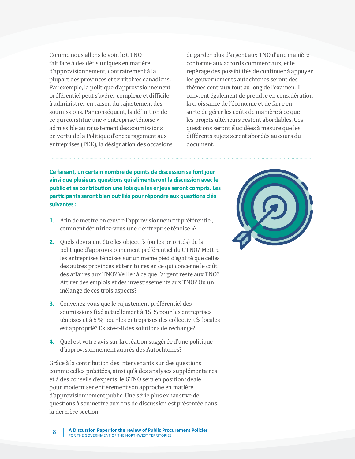Comme nous allons le voir, le GTNO fait face à des défis uniques en matière d'approvisionnement, contrairement à la plupart des provinces et territoires canadiens. Par exemple, la politique d'approvisionnement préférentiel peut s'avérer complexe et difficile à administrer en raison du rajustement des soumissions. Par conséquent, la définition de ce qui constitue une « entreprise ténoise » admissible au rajustement des soumissions en vertu de la Politique d'encouragement aux entreprises (PEE), la désignation des occasions de garder plus d'argent aux TNO d'une manière conforme aux accords commerciaux, et le repérage des possibilités de continuer à appuyer les gouvernements autochtones seront des thèmes centraux tout au long de l'examen. Il convient également de prendre en considération la croissance de l'économie et de faire en sorte de gérer les coûts de manière à ce que les projets ultérieurs restent abordables. Ces questions seront élucidées à mesure que les différents sujets seront abordés au cours du document.

**Ce faisant, un certain nombre de points de discussion se font jour ainsi que plusieurs questions qui alimenteront la discussion avec le public et sa contribution une fois que les enjeux seront compris. Les participants seront bien outillés pour répondre aux questions clés suivantes:**

- **1.** Afin de mettre en œuvre l'approvisionnement préférentiel, comment définiriez-vous une « entreprise ténoise »?
- **2.** Quels devraient être les objectifs (ou les priorités) de la politique d'approvisionnement préférentiel du GTNO? Mettre les entreprises ténoises sur un même pied d'égalité que celles des autres provinces et territoires en ce qui concerne le coût des affaires aux TNO? Veiller à ce que l'argent reste aux TNO? Attirer des emplois et des investissements aux TNO? Ou un mélange de ces trois aspects?
- **3.** Convenez-vous que le rajustement préférentiel des soumissions fixé actuellement à 15 % pour les entreprises ténoises et à 5 % pour les entreprises des collectivités locales est approprié? Existe-t-il des solutions de rechange?
- **4.** Quel est votre avis sur la création suggérée d'une politique d'approvisionnement auprès des Autochtones?

Grâce à la contribution des intervenants sur des questions comme celles précitées, ainsi qu'à des analyses supplémentaires et à des conseils d'experts, le GTNO sera en position idéale pour moderniser entièrement son approche en matière d'approvisionnement public. Une série plus exhaustive de questions à soumettre aux fins de discussion est présentée dans la dernière section.

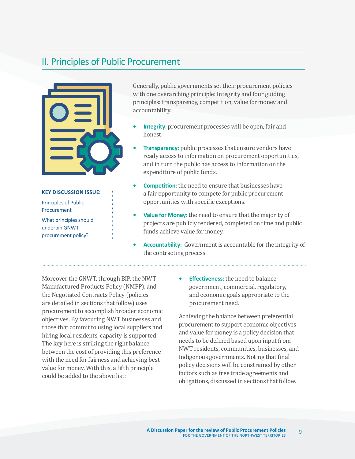## II. Principles of Public Procurement



#### **KEY DISCUSSION ISSUE:**

Principles of Public Procurement What principles should underpin GNWT procurement policy?

Generally, public governments set their procurement policies with one overarching principle: Integrity and four guiding principles: transparency, competition, value for money and accountability.

- **Integrity:** procurement processes will be open, fair and honest.
- **Transparency:** public processes that ensure vendors have ready access to information on procurement opportunities, and in turn the public has access to information on the expenditure of public funds.
- **• Competition:** the need to ensure that businesses have a fair opportunity to compete for public procurement opportunities with specific exceptions.
- **• Value for Money:** the need to ensure that the majority of projects are publicly tendered, completed on time and public funds achieve value for money.
- **• Accountability:** Government is accountable for the integrity of the contracting process.

Moreover the GNWT, through BIP, the NWT Manufactured Products Policy (NMPP), and the Negotiated Contracts Policy (policies are detailed in sections that follow) uses procurement to accomplish broader economic objectives. By favouring NWT businesses and those that commit to using local suppliers and hiring local residents, capacity is supported. The key here is striking the right balance between the cost of providing this preference with the need for fairness and achieving best value for money. With this, a fifth principle could be added to the above list:

**• Effectiveness:** the need to balance government, commercial, regulatory, and economic goals appropriate to the procurement need.

Achieving the balance between preferential procurement to support economic objectives and value for money is a policy decision that needs to be defined based upon input from NWT residents, communities, businesses, and Indigenous governments. Noting that final policy decisions will be constrained by other factors such as free trade agreements and obligations, discussed in sections that follow.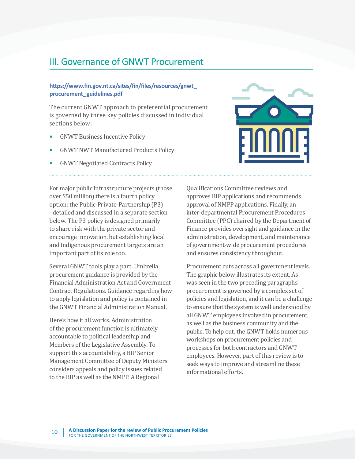## III. Governance of GNWT Procurement

#### **[https://www.fin.gov.nt.ca/sites/fin/files/resources/gnwt\\_](https://www.fin.gov.nt.ca/sites/fin/files/resources/gnwt_procurement_guidelines.pdf) [procurement\\_guidelines.pdf](https://www.fin.gov.nt.ca/sites/fin/files/resources/gnwt_procurement_guidelines.pdf)**

The current GNWT approach to preferential procurement is governed by three key policies discussed in individual sections below:

- **•** GNWT Business Incentive Policy
- **•** GNWT NWT Manufactured Products Policy
- **•** GNWT Negotiated Contracts Policy



For major public infrastructure projects (those over \$50 million) there is a fourth policy option: the Public-Private-Partnership (P3) –detailed and discussed in a separate section below. The P3 policy is designed primarily to share risk with the private sector and encourage innovation, but establishing local and Indigenous procurement targets are an important part of its role too.

Several GNWT tools play a part. Umbrella procurement guidance is provided by the Financial Administration Act and Government Contract Regulations. Guidance regarding how to apply legislation and policy is contained in the GNWT Financial Administration Manual.

Here's how it all works. Administration of the procurement function is ultimately accountable to political leadership and Members of the Legislative Assembly. To support this accountability, a BIP Senior Management Committee of Deputy Ministers considers appeals and policy issues related to the BIP as well as the NMPP. A Regional

Qualifications Committee reviews and approves BIP applications and recommends approval of NMPP applications. Finally, an inter-departmental Procurement Procedures Committee (PPC) chaired by the Department of Finance provides oversight and guidance in the administration, development, and maintenance of government-wide procurement procedures and ensures consistency throughout.

Procurement cuts across all government levels. The graphic below illustrates its extent. As was seen in the two preceding paragraphs procurement is governed by a complex set of policies and legislation, and it can be a challenge to ensure that the system is well understood by all GNWT employees involved in procurement, as well as the business community and the public. To help out, the GNWT holds numerous workshops on procurement policies and processes for both contractors and GNWT employees. However, part of this review is to seek ways to improve and streamline these informational efforts.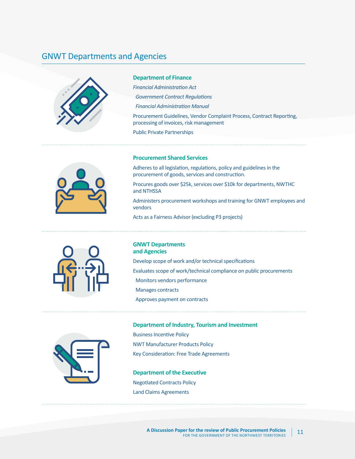## GNWT Departments and Agencies





#### **Department of Finance**

*Financial Administration Act Government Contract Regulations Financial Administration Manual* Procurement Guidelines, Vendor Complaint Process, Contract Reporting, processing of invoices, risk management Public Private Partnerships

#### **Procurement Shared Services**

Adheres to all legislation, regulations, policy and guidelines in the procurement of goods, services and construction.

Procures goods over \$25k, services over \$10k for departments, NWTHC and NTHSSA

Administers procurement workshops and training for GNWT employees and vendors

Acts as a Fairness Advisor (excluding P3 projects)



#### **GNWT Departments and Agencies**

Develop scope of work and/or technical specifications Evaluates scope of work/technical compliance on public procurements Monitors vendors performance Manages contracts Approves payment on contracts



**Department of Industry, Tourism and Investment** Business Incentive Policy NWT Manufacturer Products Policy

Key Consideration: Free Trade Agreements

**Department of the Executive** Negotiated Contracts Policy Land Claims Agreements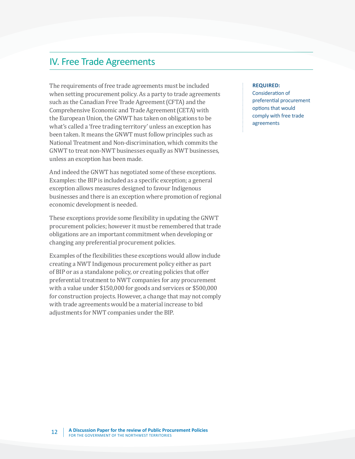## IV. Free Trade Agreements

The requirements of free trade agreements must be included when setting procurement policy. As a party to trade agreements such as the Canadian Free Trade Agreement (CFTA) and the Comprehensive Economic and Trade Agreement (CETA) with the European Union, the GNWT has taken on obligations to be what's called a 'free trading territory' unless an exception has been taken. It means the GNWT must follow principles such as National Treatment and Non-discrimination, which commits the GNWT to treat non-NWT businesses equally as NWT businesses, unless an exception has been made.

And indeed the GNWT has negotiated some of these exceptions. Examples: the BIP is included as a specific exception; a general exception allows measures designed to favour Indigenous businesses and there is an exception where promotion of regional economic development is needed.

These exceptions provide some flexibility in updating the GNWT procurement policies; however it must be remembered that trade obligations are an important commitment when developing or changing any preferential procurement policies.

Examples of the flexibilities these exceptions would allow include creating a NWT Indigenous procurement policy either as part of BIP or as a standalone policy, or creating policies that offer preferential treatment to NWT companies for any procurement with a value under \$150,000 for goods and services or \$500,000 for construction projects. However, a change that may not comply with trade agreements would be a material increase to bid adjustments for NWT companies under the BIP.

#### **REQUIRED:**

Consideration of preferential procurement options that would comply with free trade agreements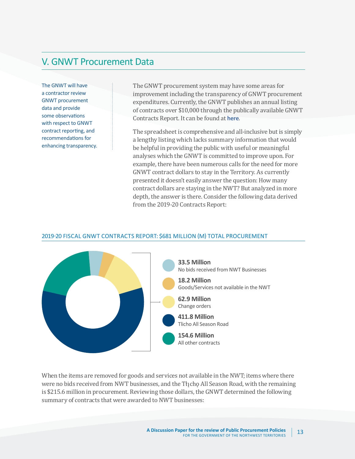## V. GNWT Procurement Data

The GNWT will have a contractor review GNWT procurement data and provide some observations with respect to GNWT contract reporting, and recommendations for enhancing transparency. The GNWT procurement system may have some areas for improvement including the transparency of GNWT procurement expenditures. Currently, the GNWT publishes an annual listing of contracts over \$10,000 through the publically available GNWT Contracts Report. It can be found at **[he]( https://www.fin.gov.nt.ca/en/resources/excel-data-sheet-government-northwest-territories-contract-report-apr-1-2019-mar-31-2020)re**.

The spreadsheet is comprehensive and all-inclusive but is simply a lengthy listing which lacks summary information that would be helpful in providing the public with useful or meaningful analyses which the GNWT is committed to improve upon. For example, there have been numerous calls for the need for more GNWT contract dollars to stay in the Territory. As currently presented it doesn't easily answer the question: How many contract dollars are staying in the NWT? But analyzed in more depth, the answer is there. Consider the following data derived from the 2019-20 Contracts Report:

#### 2019-20 FISCAL GNWT CONTRACTS REPORT: \$681 MILLION (M) TOTAL PROCUREMENT



When the items are removed for goods and services not available in the NWT; items where there were no bids received from NWT businesses, and the Tłicho All Season Road, with the remaining is \$215.6 million in procurement. Reviewing those dollars, the GNWT determined the following summary of contracts that were awarded to NWT businesses: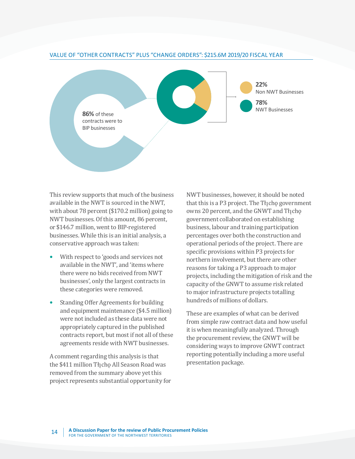## **86%** of these contracts were to BIP businesses **22%** Non NWT Businesses **78%** NWT Businesses

VALUE OF "OTHER CONTRACTS" PLUS "CHANGE ORDERS": \$215.6M 2019/20 FISCAL YEAR

This review supports that much of the business available in the NWT is sourced in the NWT, with about 78 percent (\$170.2 million) going to NWT businesses. Of this amount, 86 percent, or \$146.7 million, went to BIP-registered businesses. While this is an initial analysis, a conservative approach was taken:

- **•** With respect to 'goods and services not available in the NWT', and 'items where there were no bids received from NWT businesses', only the largest contracts in these categories were removed.
- **•** Standing Offer Agreements for building and equipment maintenance (\$4.5 million) were not included as these data were not appropriately captured in the published contracts report, but most if not all of these agreements reside with NWT businesses.

A comment regarding this analysis is that the \$411 million Tłįcho All Season Road was removed from the summary above yet this project represents substantial opportunity for NWT businesses, however, it should be noted that this is a  $P3$  project. The The o government owns 20 percent, and the GNWT and Tłicho government collaborated on establishing business, labour and training participation percentages over both the construction and operational periods of the project. There are specific provisions within P3 projects for northern involvement, but there are other reasons for taking a P3 approach to major projects, including the mitigation of risk and the capacity of the GNWT to assume risk related to major infrastructure projects totalling hundreds of millions of dollars.

These are examples of what can be derived from simple raw contract data and how useful it is when meaningfully analyzed. Through the procurement review, the GNWT will be considering ways to improve GNWT contract reporting potentially including a more useful presentation package.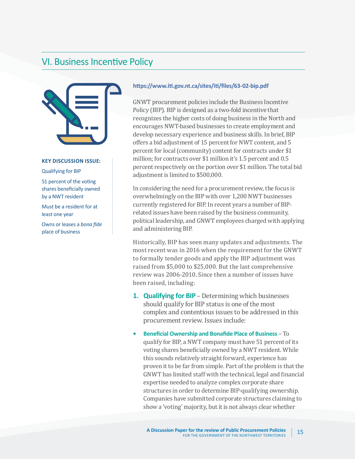## VI. Business Incentive Policy



#### **KEY DISCUSSION ISSUE:**

Qualifying for BIP

51 percent of the voting shares beneficially owned by a NWT resident

Must be a resident for at least one year

Owns or leases a *bona fide*  place of business

#### **[https://www.iti.gov.nt.ca/sites/iti/files/63-02-bip.pdf](https://www.iti.gov.nt.ca/sites/iti/files/63-02-bip.pdf )**

GNWT procurement policies include the Business Incentive Policy (BIP). BIP is designed as a two-fold incentive that recognizes the higher costs of doing business in the North and encourages NWT-based businesses to create employment and develop necessary experience and business skills. In brief, BIP offers a bid adjustment of 15 percent for NWT content, and 5 percent for local (community) content for contracts under \$1 million; for contracts over \$1 million it's 1.5 percent and 0.5 percent respectively on the portion over \$1 million. The total bid adjustment is limited to \$500,000.

In considering the need for a procurement review, the focus is overwhelmingly on the BIP with over 1,200 NWT businesses currently registered for BIP. In recent years a number of BIPrelated issues have been raised by the business community, political leadership, and GNWT employees charged with applying and administering BIP.

Historically, BIP has seen many updates and adjustments. The most recent was in 2016 when the requirement for the GNWT to formally tender goods and apply the BIP adjustment was raised from \$5,000 to \$25,000. But the last comprehensive review was 2006-2010. Since then a number of issues have been raised, including:

- **1. Qualifying for BIP** Determining which businesses should qualify for BIP status is one of the most complex and contentious issues to be addressed in this procurement review. Issues include:
- **• Beneficial Ownership and Bonafide Place of Business** To qualify for BIP, a NWT company must have 51 percent of its voting shares beneficially owned by a NWT resident. While this sounds relatively straight forward, experience has proven it to be far from simple. Part of the problem is that the GNWT has limited staff with the technical, legal and financial expertise needed to analyze complex corporate share structures in order to determine BIP-qualifying ownership. Companies have submitted corporate structures claiming to show a 'voting' majority, but it is not always clear whether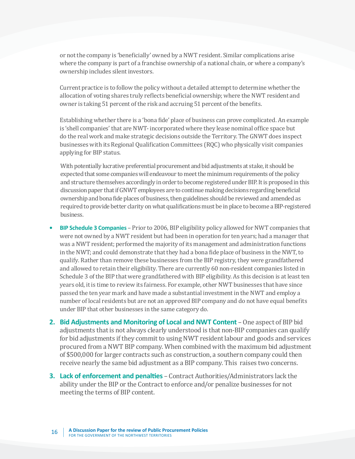or not the company is 'beneficially' owned by a NWT resident. Similar complications arise where the company is part of a franchise ownership of a national chain, or where a company's ownership includes silent investors.

Current practice is to follow the policy without a detailed attempt to determine whether the allocation of voting shares truly reflects beneficial ownership; where the NWT resident and owner is taking 51 percent of the risk and accruing 51 percent of the benefits.

Establishing whether there is a 'bona fide' place of business can prove complicated. An example is 'shell companies' that are NWT- incorporated where they lease nominal office space but do the real work and make strategic decisions outside the Territory. The GNWT does inspect businesses with its Regional Qualification Committees (RQC) who physically visit companies applying for BIP status.

With potentially lucrative preferential procurement and bid adjustments at stake, it should be expected that some companies will endeavour to meet the minimum requirements of the policy and structure themselves accordingly in order to become registered under BIP. It is proposed in this discussion paper that if GNWT employees are to continue making decisions regarding beneficial ownership and bona fide places of business, then guidelines should be reviewed and amended as required to provide better clarity on what qualifications must be in place to become a BIP-registered business.

- **• BIP Schedule 3 Companies** Prior to 2006, BIP eligibility policy allowed for NWT companies that were not owned by a NWT resident but had been in operation for ten years; had a manager that was a NWT resident; performed the majority of its management and administration functions in the NWT; and could demonstrate that they had a bona fide place of business in the NWT, to qualify. Rather than remove these businesses from the BIP registry, they were grandfathered and allowed to retain their eligibility. There are currently 60 non-resident companies listed in Schedule 3 of the BIP that were grandfathered with BIP eligibility. As this decision is at least ten years old, it is time to review its fairness. For example, other NWT businesses that have since passed the ten year mark and have made a substantial investment in the NWT and employ a number of local residents but are not an approved BIP company and do not have equal benefits under BIP that other businesses in the same category do.
- **2. Bid Adjustments and Monitoring of Local and NWT Content One aspect of BIP bid** adjustments that is not always clearly understood is that non-BIP companies can qualify for bid adjustments if they commit to using NWT resident labour and goods and services procured from a NWT BIP company. When combined with the maximum bid adjustment of \$500,000 for larger contracts such as construction, a southern company could then receive nearly the same bid adjustment as a BIP company. This raises two concerns.
- **3. Lack of enforcement and penalties Contract Authorities/Administrators lack the** ability under the BIP or the Contract to enforce and/or penalize businesses for not meeting the terms of BIP content.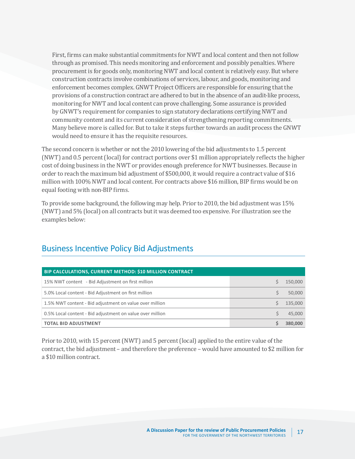First, firms can make substantial commitments for NWT and local content and then not follow through as promised. This needs monitoring and enforcement and possibly penalties. Where procurement is for goods only, monitoring NWT and local content is relatively easy. But where construction contracts involve combinations of services, labour, and goods, monitoring and enforcement becomes complex. GNWT Project Officers are responsible for ensuring that the provisions of a construction contract are adhered to but in the absence of an audit-like process, monitoring for NWT and local content can prove challenging. Some assurance is provided by GNWT's requirement for companies to sign statutory declarations certifying NWT and community content and its current consideration of strengthening reporting commitments. Many believe more is called for. But to take it steps further towards an audit process the GNWT would need to ensure it has the requisite resources.

The second concern is whether or not the 2010 lowering of the bid adjustments to 1.5 percent (NWT) and 0.5 percent (local) for contract portions over \$1 million appropriately reflects the higher cost of doing business in the NWT or provides enough preference for NWT businesses. Because in order to reach the maximum bid adjustment of \$500,000, it would require a contract value of \$16 million with 100% NWT and local content. For contracts above \$16 million, BIP firms would be on equal footing with non-BIP firms.

To provide some background, the following may help. Prior to 2010, the bid adjustment was 15% (NWT) and 5% (local) on all contracts but it was deemed too expensive. For illustration see the examples below:

### Business Incentive Policy Bid Adjustments

| BIP CALCULATIONS, CURRENT METHOD: \$10 MILLION CONTRACT   |         |
|-----------------------------------------------------------|---------|
| 15% NWT content - Bid Adjustment on first million         | 150,000 |
| 5.0% Local content - Bid Adjustment on first million      | 50,000  |
| 1.5% NWT content - Bid adjustment on value over million   | 135,000 |
| 0.5% Local content - Bid adjustment on value over million | 45,000  |
| <b>TOTAL BID ADJUSTMENT</b>                               | 380,000 |

Prior to 2010, with 15 percent (NWT) and 5 percent (local) applied to the entire value of the contract, the bid adjustment – and therefore the preference – would have amounted to \$2 million for a \$10 million contract.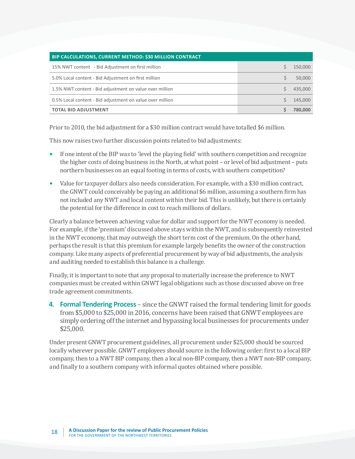| <b>BIP CALCULATIONS, CURRENT METHOD: \$30 MILLION CONTRACT</b> |         |
|----------------------------------------------------------------|---------|
| 15% NWT content - Bid Adjustment on first million              | 150,000 |
| 5.0% Local content - Bid Adjustment on first million           | 50,000  |
| 1.5% NWT content - Bid adjustment on value over million        | 435,000 |
| 0.5% Local content - Bid adjustment on value over million      | 145,000 |
| <b>TOTAL BID ADJUSTMENT</b>                                    | 780.000 |

Prior to 2010, the bid adjustment for a \$30 million contract would have totalled \$6 million.

This now raises two further discussion points related to bid adjustments:

- **•** If one intent of the BIP was to 'level the playing field' with southern competition and recognize the higher costs of doing business in the North, at what point – or level of bid adjustment – puts northern businesses on an equal footing in terms of costs, with southern competition?
- **•** Value for taxpayer dollars also needs consideration. For example, with a \$30 million contract, the GNWT could conceivably be paying an additional \$6 million, assuming a southern firm has not included any NWT and local content within their bid. This is unlikely, but there is certainly the potential for the difference in cost to reach millions of dollars.

Clearly a balance between achieving value for dollar and support for the NWT economy is needed. For example, if the 'premium' discussed above stays within the NWT, and is subsequently reinvested in the NWT economy, that may outweigh the short term cost of the premium. On the other hand, perhaps the result is that this premium for example largely benefits the owner of the construction company. Like many aspects of preferential procurement by way of bid adjustments, the analysis and auditing needed to establish this balance is a challenge.

Finally, it is important to note that any proposal to materially increase the preference to NWT companies must be created within GNWT legal obligations such as those discussed above on free trade agreement commitments.

**1. Formal Tendering Process** – since the GNWT raised the formal tendering limit for goods **4.**from \$5,000 to \$25,000 in 2016, concerns have been raised that GNWT employees are simply ordering off the internet and bypassing local businesses for procurements under \$25,000.

Under present GNWT procurement guidelines, all procurement under \$25,000 should be sourced locally wherever possible. GNWT employees should source in the following order: first to a local BIP company, then to a NWT BIP company, then a local non-BIP company, then a NWT non-BIP company, and finally to a southern company with informal quotes obtained where possible.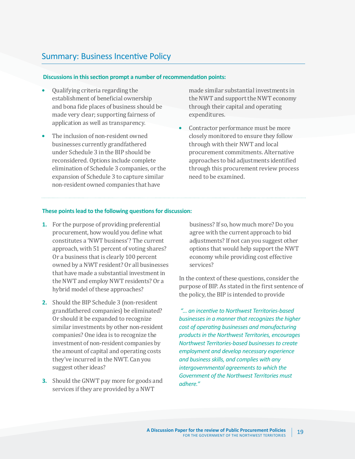### Summary: Business Incentive Policy

#### **Discussions in this section prompt a number of recommendation points:**

- **•** Qualifying criteria regarding the establishment of beneficial ownership and bona fide places of business should be made very clear; supporting fairness of application as well as transparency.
- **•** The inclusion of non-resident owned businesses currently grandfathered under Schedule 3 in the BIP should be reconsidered. Options include complete elimination of Schedule 3 companies, or the expansion of Schedule 3 to capture similar non-resident owned companies that have

made similar substantial investments in the NWT and support the NWT economy through their capital and operating expenditures.

**•** Contractor performance must be more closely monitored to ensure they follow through with their NWT and local procurement commitments. Alternative approaches to bid adjustments identified through this procurement review process need to be examined.

#### **These points lead to the following questions for discussion:**

- **1.** For the purpose of providing preferential procurement, how would you define what constitutes a 'NWT business'? The current approach, with 51 percent of voting shares? Or a business that is clearly 100 percent owned by a NWT resident? Or all businesses that have made a substantial investment in the NWT and employ NWT residents? Or a hybrid model of these approaches?
- **2.** Should the BIP Schedule 3 (non-resident grandfathered companies) be eliminated? Or should it be expanded to recognize similar investments by other non-resident companies? One idea is to recognize the investment of non-resident companies by the amount of capital and operating costs they've incurred in the NWT. Can you suggest other ideas?
- **3.** Should the GNWT pay more for goods and services if they are provided by a NWT

business? If so, how much more? Do you agree with the current approach to bid adjustments? If not can you suggest other options that would help support the NWT economy while providing cost effective services?

In the context of these questions, consider the purpose of BIP. As stated in the first sentence of the policy, the BIP is intended to provide

*"… an incentive to Northwest Territories-based businesses in a manner that recognizes the higher cost of operating businesses and manufacturing products in the Northwest Territories, encourages Northwest Territories-based businesses to create employment and develop necessary experience and business skills, and complies with any intergovernmental agreements to which the Government of the Northwest Territories must adhere."*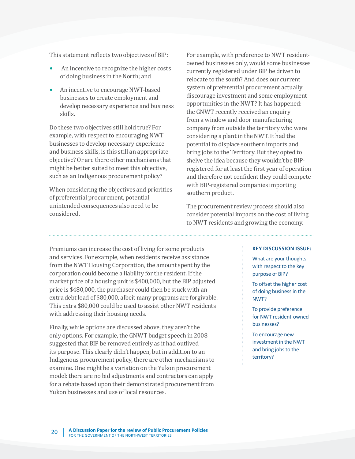This statement reflects two objectives of BIP:

- **•** An incentive to recognize the higher costs of doing business in the North; and
- **•** An incentive to encourage NWT-based businesses to create employment and develop necessary experience and business skills.

Do these two objectives still hold true? For example, with respect to encouraging NWT businesses to develop necessary experience and business skills, is this still an appropriate objective? Or are there other mechanisms that might be better suited to meet this objective, such as an Indigenous procurement policy?

When considering the objectives and priorities of preferential procurement, potential unintended consequences also need to be considered.

For example, with preference to NWT residentowned businesses only, would some businesses currently registered under BIP be driven to relocate to the south? And does our current system of preferential procurement actually discourage investment and some employment opportunities in the NWT? It has happened: the GNWT recently received an enquiry from a window and door manufacturing company from outside the territory who were considering a plant in the NWT. It had the potential to displace southern imports and bring jobs to the Territory. But they opted to shelve the idea because they wouldn't be BIPregistered for at least the first year of operation and therefore not confident they could compete with BIP-registered companies importing southern product.

The procurement review process should also consider potential impacts on the cost of living to NWT residents and growing the economy.

Premiums can increase the cost of living for some products and services. For example, when residents receive assistance from the NWT Housing Corporation, the amount spent by the corporation could become a liability for the resident. If the market price of a housing unit is \$400,000, but the BIP adjusted price is \$480,000, the purchaser could then be stuck with an extra debt load of \$80,000, albeit many programs are forgivable. This extra \$80,000 could be used to assist other NWT residents with addressing their housing needs.

Finally, while options are discussed above, they aren't the only options. For example, the GNWT budget speech in 2008 suggested that BIP be removed entirely as it had outlived its purpose. This clearly didn't happen, but in addition to an Indigenous procurement policy, there are other mechanisms to examine. One might be a variation on the Yukon procurement model: there are no bid adjustments and contractors can apply for a rebate based upon their demonstrated procurement from Yukon businesses and use of local resources.

#### **KEY DISCUSSION ISSUE:**

What are your thoughts with respect to the key purpose of BIP?

To offset the higher cost of doing business in the NWT?

To provide preference for NWT resident-owned businesses?

To encourage new investment in the NWT and bring jobs to the territory?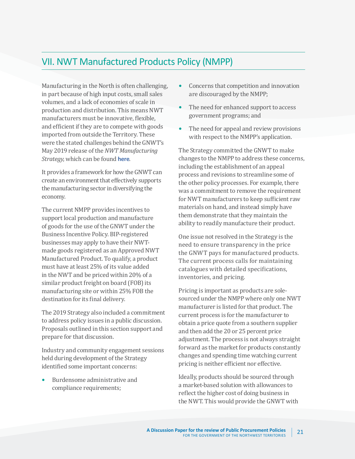## VII. NWT Manufactured Products Policy (NMPP)

Manufacturing in the North is often challenging, in part because of high input costs, small sales volumes, and a lack of economies of scale in production and distribution. This means NWT manufacturers must be innovative, flexible, and efficient if they are to compete with goods imported from outside the Territory. These were the stated challenges behind the GNWT's May 2019 release of the *NWT Manufacturing Strategy*, which can be found **[here](https://www.iti.gov.nt.ca/sites/iti/files/146092_nwt_manufacturing_strategy_2.pdf)**.

It provides a framework for how the GNWT can create an environment that effectively supports the manufacturing sector in diversifying the economy.

The current NMPP provides incentives to support local production and manufacture of goods for the use of the GNWT under the Business Incentive Policy. BIP-registered businesses may apply to have their NWTmade goods registered as an Approved NWT Manufactured Product. To qualify, a product must have at least 25% of its value added in the NWT and be priced within 20% of a similar product freight on board (FOB) its manufacturing site or within 25% FOB the destination for its final delivery.

The 2019 Strategy also included a commitment to address policy issues in a public discussion. Proposals outlined in this section support and prepare for that discussion.

Industry and community engagement sessions held during development of the Strategy identified some important concerns:

**•** Burdensome administrative and compliance requirements;

- **•** Concerns that competition and innovation are discouraged by the NMPP;
- **•** The need for enhanced support to access government programs; and
- **•** The need for appeal and review provisions with respect to the NMPP's application.

The Strategy committed the GNWT to make changes to the NMPP to address these concerns, including the establishment of an appeal process and revisions to streamline some of the other policy processes. For example, there was a commitment to remove the requirement for NWT manufacturers to keep sufficient raw materials on hand, and instead simply have them demonstrate that they maintain the ability to readily manufacture their product.

One issue not resolved in the Strategy is the need to ensure transparency in the price the GNWT pays for manufactured products. The current process calls for maintaining catalogues with detailed specifications, inventories, and pricing.

Pricing is important as products are solesourced under the NMPP where only one NWT manufacturer is listed for that product. The current process is for the manufacturer to obtain a price quote from a southern supplier and then add the 20 or 25 percent price adjustment. The process is not always straight forward as the market for products constantly changes and spending time watching current pricing is neither efficient nor effective.

Ideally, products should be sourced through a market-based solution with allowances to reflect the higher cost of doing business in the NWT. This would provide the GNWT with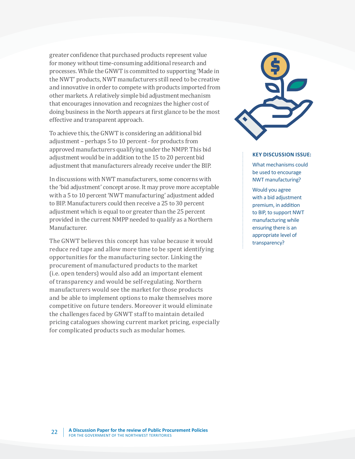greater confidence that purchased products represent value for money without time-consuming additional research and processes. While the GNWT is committed to supporting 'Made in the NWT' products, NWT manufacturers still need to be creative and innovative in order to compete with products imported from other markets. A relatively simple bid adjustment mechanism that encourages innovation and recognizes the higher cost of doing business in the North appears at first glance to be the most effective and transparent approach.

To achieve this, the GNWT is considering an additional bid adjustment – perhaps 5 to 10 percent - for products from approved manufacturers qualifying under the NMPP. This bid adjustment would be in addition to the 15 to 20 percent bid adjustment that manufacturers already receive under the BIP.

In discussions with NWT manufacturers, some concerns with the 'bid adjustment' concept arose. It may prove more acceptable with a 5 to 10 percent 'NWT manufacturing' adjustment added to BIP. Manufacturers could then receive a 25 to 30 percent adjustment which is equal to or greater than the 25 percent provided in the current NMPP needed to qualify as a Northern Manufacturer.

The GNWT believes this concept has value because it would reduce red tape and allow more time to be spent identifying opportunities for the manufacturing sector. Linking the procurement of manufactured products to the market (i.e. open tenders) would also add an important element of transparency and would be self-regulating. Northern manufacturers would see the market for those products and be able to implement options to make themselves more competitive on future tenders. Moreover it would eliminate the challenges faced by GNWT staff to maintain detailed pricing catalogues showing current market pricing, especially for complicated products such as modular homes.



#### **KEY DISCUSSION ISSUE:**

What mechanisms could be used to encourage NWT manufacturing?

Would you agree with a bid adjustment premium, in addition to BIP, to support NWT manufacturing while ensuring there is an appropriate level of transparency?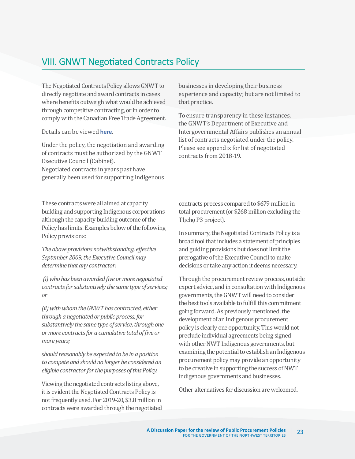## VIII. GNWT Negotiated Contracts Policy

The Negotiated Contracts Policy allows GNWT to directly negotiate and award contracts in cases where benefits outweigh what would be achieved through competitive contracting, or in order to comply with the Canadian Free Trade Agreement.

Details can be viewed **[here](https://www.eia.gov.nt.ca/sites/eia/files/content/11.26-negotiated-contracts-policy.pdf)**.

Under the policy, the negotiation and awarding of contracts must be authorized by the GNWT Executive Council (Cabinet). Negotiated contracts in years past have generally been used for supporting Indigenous

businesses in developing their business experience and capacity; but are not limited to that practice.

To ensure transparency in these instances, the GNWT's Department of Executive and Intergovernmental Affairs publishes an annual list of contracts negotiated under the policy. Please see appendix for list of negotiated contracts from 2018-19.

These contracts were all aimed at capacity building and supporting Indigenous corporations although the capacity building outcome of the Policy has limits. Examples below of the following Policy provisions:

*The above provisions notwithstanding, effective September 2009, the Executive Council may determine that any contractor:*

 *(i) who has been awarded five or more negotiated contracts for substantively the same type of services; or*

*(ii) with whom the GNWT has contracted, either through a negotiated or public process, for substantively the same type of service, through one or more contracts for a cumulative total of five or more years;*

*should reasonably be expected to be in a position to compete and should no longer be considered an eligible contractor for the purposes of this Policy.* 

Viewing the negotiated contracts listing above, it is evident the Negotiated Contracts Policy is not frequently used. For 2019-20, \$3.8 million in contracts were awarded through the negotiated contracts process compared to \$679 million in total procurement (or \$268 million excluding the Tłįcho P3 project).

In summary, the Negotiated Contracts Policy is a broad tool that includes a statement of principles and guiding provisions but does not limit the prerogative of the Executive Council to make decisions or take any action it deems necessary.

Through the procurement review process, outside expert advice, and in consultation with Indigenous governments, the GNWT will need to consider the best tools available to fulfill this commitment going forward. As previously mentioned, the development of an Indigenous procurement policy is clearly one opportunity. This would not preclude individual agreements being signed with other NWT Indigenous governments, but examining the potential to establish an Indigenous procurement policy may provide an opportunity to be creative in supporting the success of NWT indigenous governments and businesses.

Other alternatives for discussion are welcomed.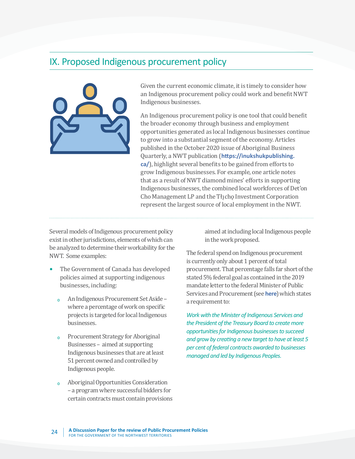## IX. Proposed Indigenous procurement policy



Given the current economic climate, it is timely to consider how an Indigenous procurement policy could work and benefit NWT Indigenous businesses.

An Indigenous procurement policy is one tool that could benefit the broader economy through business and employment opportunities generated as local Indigenous businesses continue to grow into a substantial segment of the economy. Articles published in the October 2020 issue of Aboriginal Business Quarterly, a NWT publication (**[https://inukshukpublishing.](https://inukshukpublishing.ca/) [ca/](https://inukshukpublishing.ca/)**), highlight several benefits to be gained from efforts to grow Indigenous businesses. For example, one article notes that as a result of NWT diamond mines' efforts in supporting Indigenous businesses, the combined local workforces of Det'on Cho Management LP and the Tłicho Investment Corporation represent the largest source of local employment in the NWT.

Several models of Indigenous procurement policy exist in other jurisdictions, elements of which can be analyzed to determine their workability for the NWT. Some examples:

- **•** The Government of Canada has developed policies aimed at supporting indigenous businesses, including:
	- ₀ An Indigenous Procurement Set Aside where a percentage of work on specific projects is targeted for local Indigenous businesses.
	- **o** Procurement Strategy for Aboriginal Businesses – aimed at supporting Indigenous businesses that are at least 51 percent owned and controlled by Indigenous people.
	- ₀ Aboriginal Opportunities Consideration – a program where successful bidders for certain contracts must contain provisions

aimed at including local Indigenous people in the work proposed.

The federal spend on Indigenous procurement is currently only about 1 percent of total procurement. That percentage falls far short of the stated 5% federal goal as contained in the 2019 mandate letter to the federal Minister of Public Services and Procurement (see **[h](https://pm.gc.ca/en/mandate-letters/2019/12/13/minister-public-services-and-procurement-mandate-letter)ere**) which states a requirement to:

*Work with the Minister of Indigenous Services and the President of the Treasury Board to create more opportunities for Indigenous businesses to succeed and grow by creating a new target to have at least 5 per cent of federal contracts awarded to businesses managed and led by Indigenous Peoples.*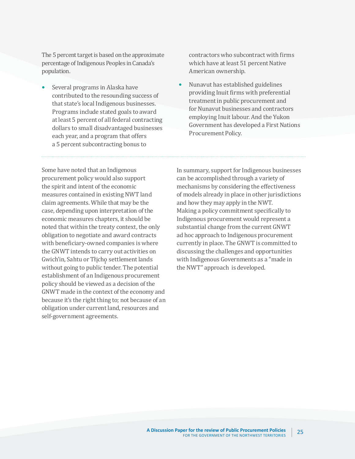The 5 percent target is based on the approximate percentage of Indigenous Peoples in Canada's population.

**•** Several programs in Alaska have contributed to the resounding success of that state's local Indigenous businesses. Programs include stated goals to award at least 5 percent of all federal contracting dollars to small disadvantaged businesses each year, and a program that offers a 5 percent subcontracting bonus to

contractors who subcontract with firms which have at least 51 percent Native American ownership.

**•** Nunavut has established guidelines providing Inuit firms with preferential treatment in public procurement and for Nunavut businesses and contractors employing Inuit labour. And the Yukon Government has developed a First Nations Procurement Policy.

Some have noted that an Indigenous procurement policy would also support the spirit and intent of the economic measures contained in existing NWT land claim agreements. While that may be the case, depending upon interpretation of the economic measures chapters, it should be noted that within the treaty context, the only obligation to negotiate and award contracts with beneficiary-owned companies is where the GNWT intends to carry out activities on Gwich'in, Sahtu or Tłįchǫ̨ settlement lands without going to public tender. The potential establishment of an Indigenous procurement policy should be viewed as a decision of the GNWT made in the context of the economy and because it's the right thing to; not because of an obligation under current land, resources and self-government agreements.

In summary, support for Indigenous businesses can be accomplished through a variety of mechanisms by considering the effectiveness of models already in place in other jurisdictions and how they may apply in the NWT. Making a policy commitment specifically to Indigenous procurement would represent a substantial change from the current GNWT ad hoc approach to Indigenous procurement currently in place. The GNWT is committed to discussing the challenges and opportunities with Indigenous Governments as a "made in the NWT" approach is developed.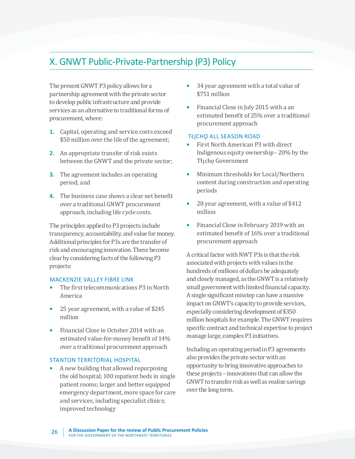## X. GNWT Public-Private-Partnership (P3) Policy

The present GNWT P3 policy allows for a partnership agreement with the private sector to develop public infrastructure and provide services as an alternative to traditional forms of procurement, where:

- **1.** Capital, operating and service costs exceed \$50 million over the life of the agreement;
- **2.** An appropriate transfer of risk exists between the GNWT and the private sector;
- **3.** The agreement includes an operating period; and
- **4.** The business case shows a clear net benefit over a traditional GNWT procurement approach, including life cycle costs.

The principles applied to P3 projects include transparency, accountability, and value for money. Additional principles for P3s are the transfer of risk and encouraging innovation. These become clear by considering facts of the following P3 projects:

#### MACKENZIE VALLEY FIBRE LINK

- **•** The first telecommunications P3 in North America
- **•** 25 year agreement, with a value of \$245 million
- **•** Financial Close in October 2014 with an estimated value-for-money benefit of 14% over a traditional procurement approach

#### STANTON TERRITORIAL HOSPITAL

**•** A new building that allowed repurposing the old hospital; 100 inpatient beds in single patient rooms; larger and better equipped emergency department, more space for care and services, including specialist clinics; improved technology

- **•** 34 year agreement with a total value of \$751 million
- **•** Financial Close in July 2015 with a an estimated benefit of 25% over a traditional procurement approach

#### TŁJCHO ALL SEASON ROAD

- **•** First North American P3 with direct Indigenous equity ownership - 20% by the Tłicho Government
- **•** Minimum thresholds for Local/Northern content during construction and operating periods
- **•** 28 year agreement, with a value of \$412 million
- **•** Financial Close in February 2019 with an estimated benefit of 16% over a traditional procurement approach

A critical factor with NWT P3s is that the risk associated with projects with values in the hundreds of millions of dollars be adequately and closely managed, as the GNWT is a relatively small government with limited financial capacity. A single significant misstep can have a massive impact on GNWT's capacity to provide services, especially considering development of \$350 million hospitals for example. The GNWT requires specific contract and technical expertise to project manage large, complex P3 initiatives.

Including an operating period in P3 agreements also provides the private sector with an opportunity to bring innovative approaches to these projects – innovations that can allow the GNWT to transfer risk as well as realize savings over the long term.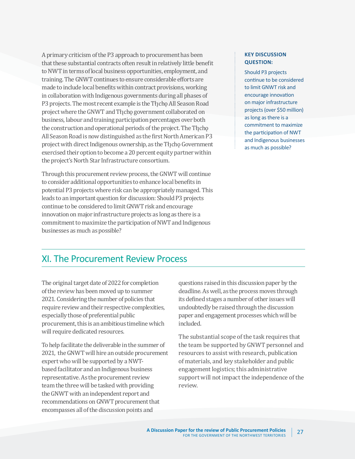A primary criticism of the P3 approach to procurement has been that these substantial contracts often result in relatively little benefit to NWT in terms of local business opportunities, employment, and training. The GNWT continues to ensure considerable efforts are made to include local benefits within contract provisions, working in collaboration with Indigenous governments during all phases of P3 projects. The most recent example is the Tłįcho All Season Road project where the GNWT and Tłįcho government collaborated on business, labour and training participation percentages over both the construction and operational periods of the project. The Tłıcho All Season Road is now distinguished as the first North American P3 project with direct Indigenous ownership, as the Tłicho Government exercised their option to become a 20 percent equity partner within the project's North Star Infrastructure consortium.

Through this procurement review process, the GNWT will continue to consider additional opportunities to enhance local benefits in potential P3 projects where risk can be appropriately managed. This leads to an important question for discussion: Should P3 projects continue to be considered to limit GNWT risk and encourage innovation on major infrastructure projects as long as there is a commitment to maximize the participation of NWT and Indigenous businesses as much as possible?

#### **KEY DISCUSSION QUESTION:**

Should P3 projects continue to be considered to limit GNWT risk and encourage innovation on major infrastructure projects (over \$50 million) as long as there is a commitment to maximize the participation of NWT and Indigenous businesses as much as possible?

## XI. The Procurement Review Process

The original target date of 2022 for completion of the review has been moved up to summer 2021. Considering the number of policies that require review and their respective complexities, especially those of preferential public procurement, this is an ambitious timeline which will require dedicated resources.

To help facilitate the deliverable in the summer of 2021, the GNWT will hire an outside procurement expert who will be supported by a NWTbased facilitator and an Indigenous business representative. As the procurement review team the three will be tasked with providing the GNWT with an independent report and recommendations on GNWT procurement that encompasses all of the discussion points and

questions raised in this discussion paper by the deadline. As well, as the process moves through its defined stages a number of other issues will undoubtedly be raised through the discussion paper and engagement processes which will be included.

The substantial scope of the task requires that the team be supported by GNWT personnel and resources to assist with research, publication of materials, and key stakeholder and public engagement logistics; this administrative support will not impact the independence of the review.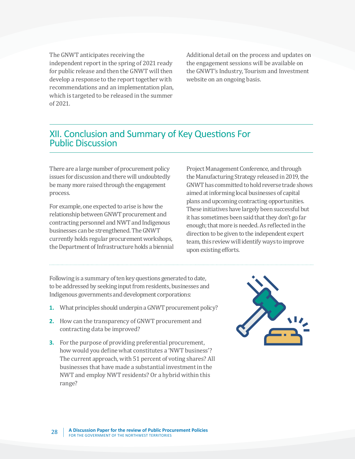The GNWT anticipates receiving the independent report in the spring of 2021 ready for public release and then the GNWT will then develop a response to the report together with recommendations and an implementation plan, which is targeted to be released in the summer of 2021.

Additional detail on the process and updates on the engagement sessions will be available on the GNWT's Industry, Tourism and Investment website on an ongoing basis.

## XII. Conclusion and Summary of Key Questions For Public Discussion

There are a large number of procurement policy issues for discussion and there will undoubtedly be many more raised through the engagement process.

For example, one expected to arise is how the relationship between GNWT procurement and contracting personnel and NWT and Indigenous businesses can be strengthened. The GNWT currently holds regular procurement workshops, the Department of Infrastructure holds a biennial Project Management Conference, and through the Manufacturing Strategy released in 2019, the GNWT has committed to hold reverse trade shows aimed at informing local businesses of capital plans and upcoming contracting opportunities. These initiatives have largely been successful but it has sometimes been said that they don't go far enough; that more is needed. As reflected in the direction to be given to the independent expert team, this review will identify ways to improve upon existing efforts.

Following is a summary of ten key questions generated to date, to be addressed by seeking input from residents, businesses and Indigenous governments and development corporations:

- **1.** What principles should underpin a GNWT procurement policy?
- **2.** How can the transparency of GNWT procurement and contracting data be improved?
- **3.** For the purpose of providing preferential procurement, how would you define what constitutes a 'NWT business'? The current approach, with 51 percent of voting shares? All businesses that have made a substantial investment in the NWT and employ NWT residents? Or a hybrid within this range?

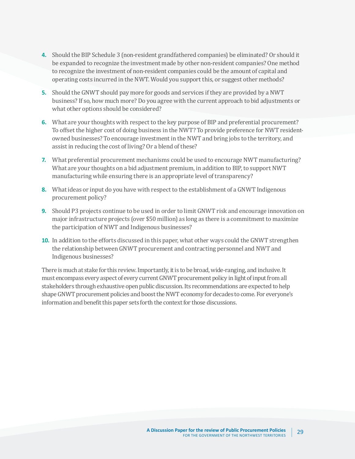- **4.** Should the BIP Schedule 3 (non-resident grandfathered companies) be eliminated? Or should it be expanded to recognize the investment made by other non-resident companies? One method to recognize the investment of non-resident companies could be the amount of capital and operating costs incurred in the NWT. Would you support this, or suggest other methods?
- **5.** Should the GNWT should pay more for goods and services if they are provided by a NWT business? If so, how much more? Do you agree with the current approach to bid adjustments or what other options should be considered?
- **6.** What are your thoughts with respect to the key purpose of BIP and preferential procurement? To offset the higher cost of doing business in the NWT? To provide preference for NWT residentowned businesses? To encourage investment in the NWT and bring jobs to the territory, and assist in reducing the cost of living? Or a blend of these?
- **7.** What preferential procurement mechanisms could be used to encourage NWT manufacturing? What are your thoughts on a bid adjustment premium, in addition to BIP, to support NWT manufacturing while ensuring there is an appropriate level of transparency?
- **8.** What ideas or input do you have with respect to the establishment of a GNWT Indigenous procurement policy?
- **9.** Should P3 projects continue to be used in order to limit GNWT risk and encourage innovation on major infrastructure projects (over \$50 million) as long as there is a commitment to maximize the participation of NWT and Indigenous businesses?
- **10.** In addition to the efforts discussed in this paper, what other ways could the GNWT strengthen the relationship between GNWT procurement and contracting personnel and NWT and Indigenous businesses?

There is much at stake for this review. Importantly, it is to be broad, wide-ranging, and inclusive. It must encompass every aspect of every current GNWT procurement policy in light of input from all stakeholders through exhaustive open public discussion. Its recommendations are expected to help shape GNWT procurement policies and boost the NWT economy for decades to come. For everyone's information and benefit this paper sets forth the context for those discussions.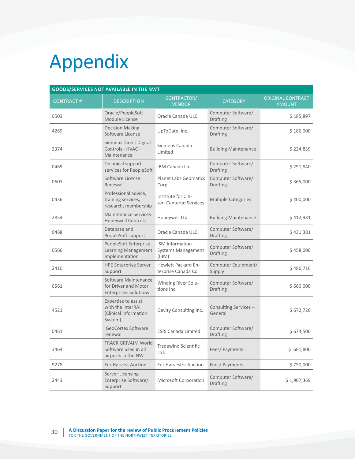## Appendix

| <b>GOODS/SERVICES NOT AVAILABLE IN THE NWT</b> |                                                                              |                                                |                                       |                                           |  |
|------------------------------------------------|------------------------------------------------------------------------------|------------------------------------------------|---------------------------------------|-------------------------------------------|--|
| <b>CONTRACT#</b>                               | <b>DESCRIPTION</b>                                                           | CONTRACTOR/<br><b>VENDOR</b>                   | <b>CATEGORY</b>                       | <b>ORIGINAL CONTRACT</b><br><b>AMOUNT</b> |  |
| 0503                                           | Oracle/PeopleSoft<br>Module License                                          | Oracle Canada ULC                              | Computer Software/<br><b>Drafting</b> | \$185,897                                 |  |
| 4269                                           | <b>Decision Making</b><br>Software License                                   | UpToDate, Inc.                                 | Computer Software/<br>Drafting        | \$186,000                                 |  |
| 2374                                           | Siemens Direct Digital<br>Controls - HVAC -<br>Maintenance                   | Siemens Canada<br>Limited                      | <b>Building Maintenance</b>           | \$224,839                                 |  |
| 0469                                           | Technical support<br>services for PeopleSoft                                 | IBM Canada Ltd.                                | Computer Software/<br>Drafting        | \$291,840                                 |  |
| 0601                                           | Software License<br>Renewal                                                  | <b>Planet Labs Geomatics</b><br>Corp.          | Computer Software/<br>Drafting        | \$365,000                                 |  |
| 0436                                           | Professional advice,<br>training services,<br>research, membership           | Institute for Citi-<br>zen-Centered Services   | <b>Multiple Categories</b>            | \$400,000                                 |  |
| 2854                                           | <b>Maintenance Services-</b><br>Honeywell Controls                           | Honeywell Ltd.                                 | <b>Building Maintenance</b>           | \$412,931                                 |  |
| 0468                                           | Database and<br>PeopleSoft support                                           | Oracle Canada ULC                              | Computer Software/<br>Drafting        | \$431,381                                 |  |
| 0566                                           | PeopleSoft Enterprise<br>Learning Management<br>Implementation               | ISM Information<br>Systems Management<br>(IBM) | Computer Software/<br><b>Drafting</b> | \$458,000                                 |  |
| 2410                                           | <b>HPE Enterprise Server</b><br>Support                                      | Hewlett Packard En-<br>terprise Canada Co      | Computer Equipment/<br>Supply         | \$486,716                                 |  |
| 0561                                           | Software Maintenance<br>for Driver and Motor<br><b>Enterprises Solutions</b> | Winding River Solu-<br>tions Inc.              | Computer Software/<br><b>Drafting</b> | \$660,000                                 |  |
| 4521                                           | Expertise to assist<br>with the interRAI<br>(Clinical Information<br>System) | Gevity Consulting Inc.                         | Consulting Services-<br>General       | \$672,720                                 |  |
| 0461                                           | GeoCortex Software<br>renewal                                                | <b>ESRI Canada Limited</b>                     | Computer Software/<br><b>Drafting</b> | \$674,500                                 |  |
| 3464                                           | <b>TRACR GRF/AIM World</b><br>Software used in all<br>airports in the NWT    | Tradewind Scientific<br>Ltd.                   | Fees/ Payments                        | \$681,800                                 |  |
| 9278                                           | <b>Fur Harvest Auction</b>                                                   | Fur Harvester Auction                          | Fees/ Payments                        | \$750,000                                 |  |
| 2443                                           | Server Licensing<br>Enterprise Software/<br>Support                          | Microsoft Corporation                          | Computer Software/<br><b>Drafting</b> | \$1,907,369                               |  |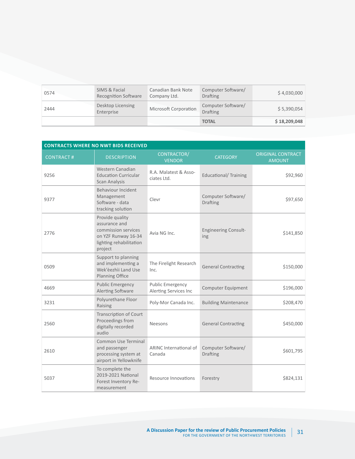| 0574 | SIMS & Facial<br><b>Recognition Software</b> | Canadian Bank Note<br>Company Ltd. | Computer Software/<br><b>Drafting</b> | \$4,030,000  |
|------|----------------------------------------------|------------------------------------|---------------------------------------|--------------|
| 2444 | Desktop Licensing<br>Enterprise              | <b>Microsoft Corporation</b>       | Computer Software/<br><b>Drafting</b> | \$5,390,054  |
|      |                                              |                                    | <b>TOTAL</b>                          | \$18,209,048 |

| <b>CONTRACTS WHERE NO NWT BIDS RECEIVED</b> |                                                                                                                      |                                                  |                                       |                                           |  |
|---------------------------------------------|----------------------------------------------------------------------------------------------------------------------|--------------------------------------------------|---------------------------------------|-------------------------------------------|--|
| <b>CONTRACT#</b>                            | <b>DESCRIPTION</b>                                                                                                   | CONTRACTOR/<br><b>VENDOR</b>                     | <b>CATEGORY</b>                       | <b>ORIGINAL CONTRACT</b><br><b>AMOUNT</b> |  |
| 9256                                        | Western Canadian<br><b>Education Curricular</b><br>Scan Analysis                                                     | R.A. Malatest & Asso-<br>ciates Ltd.             | Educational/Training                  | \$92,960                                  |  |
| 9377                                        | <b>Behaviour Incident</b><br>Management<br>Software - data<br>tracking solution                                      | Clevr                                            | Computer Software/<br><b>Drafting</b> | \$97,650                                  |  |
| 2776                                        | Provide quality<br>assurance and<br>commission services<br>on YZF Runway 16-34<br>lighting rehabilitation<br>project | Avia NG Inc.                                     | <b>Engineering Consult-</b><br>ing    | \$141,850                                 |  |
| 0509                                        | Support to planning<br>and implementing a<br>Wek'èezhìi Land Use<br>Planning Office                                  | The Firelight Research<br>Inc.                   | <b>General Contracting</b>            | \$150,000                                 |  |
| 4669                                        | <b>Public Emergency</b><br><b>Alerting Software</b>                                                                  | <b>Public Emergency</b><br>Alerting Services Inc | Computer Equipment                    | \$196,000                                 |  |
| 3231                                        | Polyurethane Floor<br>Raising                                                                                        | Poly-Mor Canada Inc.                             | <b>Building Maintenance</b>           | \$208,470                                 |  |
| 2560                                        | Transcription of Court<br>Proceedings from<br>digitally recorded<br>audio                                            | Neesons                                          | <b>General Contracting</b>            | \$450,000                                 |  |
| 2610                                        | Common Use Terminal<br>and passenger<br>processing system at<br>airport in Yellowknife                               | ARINC International of<br>Canada                 | Computer Software/<br><b>Drafting</b> | \$601,795                                 |  |
| 5037                                        | To complete the<br>2019-2021 National<br>Forest Inventory Re-<br>measurement                                         | Resource Innovations                             | Forestry                              | \$824,131                                 |  |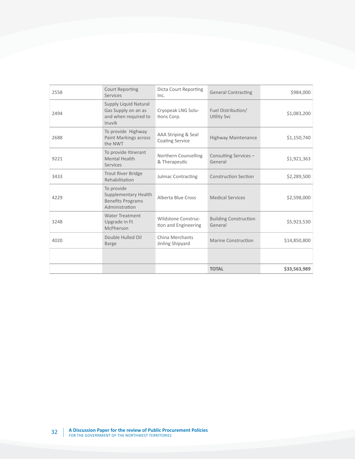| 2558 | <b>Court Reporting</b><br>Services                                                      | <b>Dicta Court Reporting</b><br>Inc.               | <b>General Contracting</b>               | \$984,000    |
|------|-----------------------------------------------------------------------------------------|----------------------------------------------------|------------------------------------------|--------------|
| 2494 | Supply Liquid Natural<br>Gas Supply on an as<br>and when required to<br>Inuvik          | Cryopeak LNG Solu-<br>tions Corp.                  | Fuel Distribution/<br><b>Utility Svc</b> | \$1,083,200  |
| 2688 | To provide Highway<br>Paint Markings across<br>the NWT                                  | AAA Striping & Seal<br><b>Coating Service</b>      | <b>Highway Maintenance</b>               | \$1,150,740  |
| 9221 | To provide Itinerant<br><b>Mental Health</b><br><b>Services</b>                         | Northern Counselling<br>& Therapeutic              | Consulting Services-<br>General          | \$1,921,363  |
| 3433 | <b>Trout River Bridge</b><br>Rehabilitation                                             | <b>Julmac Contracting</b>                          | <b>Construction Section</b>              | \$2,289,500  |
| 4229 | To provide<br><b>Supplementary Health</b><br><b>Benefits Programs</b><br>Administration | <b>Alberta Blue Cross</b>                          | <b>Medical Services</b>                  | \$2,598,000  |
| 3248 | <b>Water Treatment</b><br>Upgrade in Ft<br>McPherson                                    | <b>Wildstone Construc-</b><br>tion and Engineering | <b>Building Construction</b><br>General  | \$5,923,530  |
| 4020 | Double Hulled Oil<br><b>Barge</b>                                                       | China Merchants<br>Jinling Shipyard                | <b>Marine Construction</b>               | \$14,850,800 |
|      |                                                                                         |                                                    |                                          |              |
|      |                                                                                         |                                                    | <b>TOTAL</b>                             | \$33,563,989 |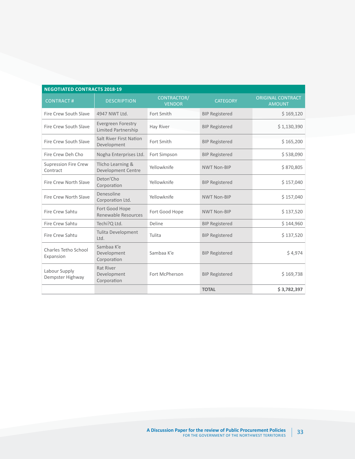| <b>NEGOTIATED CONTRACTS 2018-19</b>     |                                                  |                              |                       |                                           |  |
|-----------------------------------------|--------------------------------------------------|------------------------------|-----------------------|-------------------------------------------|--|
| <b>CONTRACT#</b>                        | <b>DESCRIPTION</b>                               | CONTRACTOR/<br><b>VENDOR</b> | <b>CATEGORY</b>       | <b>ORIGINAL CONTRACT</b><br><b>AMOUNT</b> |  |
| Fire Crew South Slave                   | 4947 NWT Ltd.                                    | Fort Smith                   | <b>BIP Registered</b> | \$169,120                                 |  |
| Fire Crew South Slave                   | <b>Evergreen Forestry</b><br>Limited Partnership | Hay River                    | <b>BIP Registered</b> | \$1,130,390                               |  |
| Fire Crew South Slave                   | Salt River First Nation<br>Development           | Fort Smith                   | <b>BIP Registered</b> | \$165,200                                 |  |
| Fire Crew Deh Cho                       | Nogha Enterprises Ltd.                           | Fort Simpson                 | <b>BIP Registered</b> | \$538,090                                 |  |
| <b>Supression Fire Crew</b><br>Contract | Tlicho Learning &<br><b>Development Centre</b>   | Yellowknife                  | <b>NWT Non-BIP</b>    | \$870,805                                 |  |
| Fire Crew North Slave                   | Deton'Cho<br>Corporation                         | Yellowknife                  | <b>BIP Registered</b> | \$157,040                                 |  |
| Fire Crew North Slave                   | Denesoline<br>Corporation Ltd.                   | Yellowknife                  | <b>NWT Non-BIP</b>    | \$157,040                                 |  |
| Fire Crew Sahtu                         | Fort Good Hope<br>Renewable Resources            | Fort Good Hope               | <b>NWT Non-BIP</b>    | \$137,520                                 |  |
| Fire Crew Sahtu                         | Techi?Q Ltd.                                     | Deline                       | <b>BIP Registered</b> | \$144,960                                 |  |
| Fire Crew Sahtu                         | Tulita Development<br>Ltd.                       | Tulita                       | <b>BIP Registered</b> | \$137,520                                 |  |
| Charles Tetho School<br>Expansion       | Sambaa K'e<br>Development<br>Corporation         | Sambaa K'e                   | <b>BIP Registered</b> | \$4,974                                   |  |
| Labour Supply<br>Dempster Highway       | Rat River<br>Development<br>Corporation          | Fort McPherson               | <b>BIP Registered</b> | \$169,738                                 |  |
|                                         |                                                  |                              | <b>TOTAL</b>          | \$3,782,397                               |  |